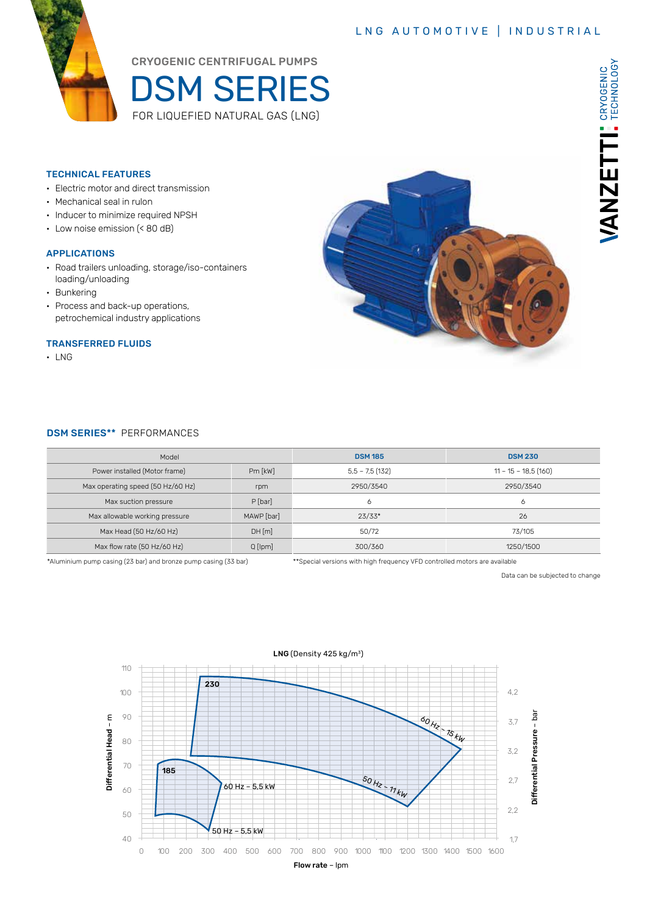### LNG AUTOMOTIVE | INDUSTRIAL



CRYOGENIC CENTRIFUGAL PUMPS

DSM SERIES FOR LIQUEFIED NATURAL GAS (LNG)

#### TECHNICAL FEATURES

- Electric motor and direct transmission
- Mechanical seal in rulon
- Inducer to minimize required NPSH
- Low noise emission (< 80 dB)

#### APPLICATIONS

- Road trailers unloading, storage/iso-containers loading/unloading
- Bunkering
- Process and back-up operations, petrochemical industry applications

#### TRANSFERRED FLUIDS

• LNG



#### DSM SERIES\*\* PERFORMANCES

| Model                             |               | <b>DSM 185</b>   | <b>DSM 230</b>        |  |  |  |
|-----------------------------------|---------------|------------------|-----------------------|--|--|--|
| Power installed (Motor frame)     | $Pm$ [ $kW$ ] | $5,5 - 7,5(132)$ | $11 - 15 - 18,5(160)$ |  |  |  |
| Max operating speed (50 Hz/60 Hz) | rpm           | 2950/3540        | 2950/3540             |  |  |  |
| Max suction pressure              | $P$ [bar]     | 6                | 6                     |  |  |  |
| Max allowable working pressure    | MAWP [bar]    | $23/33*$         | 26                    |  |  |  |
| Max Head (50 Hz/60 Hz)            | DH[m]         | 50/72            | 73/105                |  |  |  |
| Max flow rate (50 Hz/60 Hz)       | $Q$ [lpm]     | 300/360          | 1250/1500             |  |  |  |

\*Aluminium pump casing (23 bar) and bronze pump casing (33 bar) \*\*Special versions with high frequency VFD controlled motors are available

Data can be subjected to change

VANZETTI: CRYOGENIC